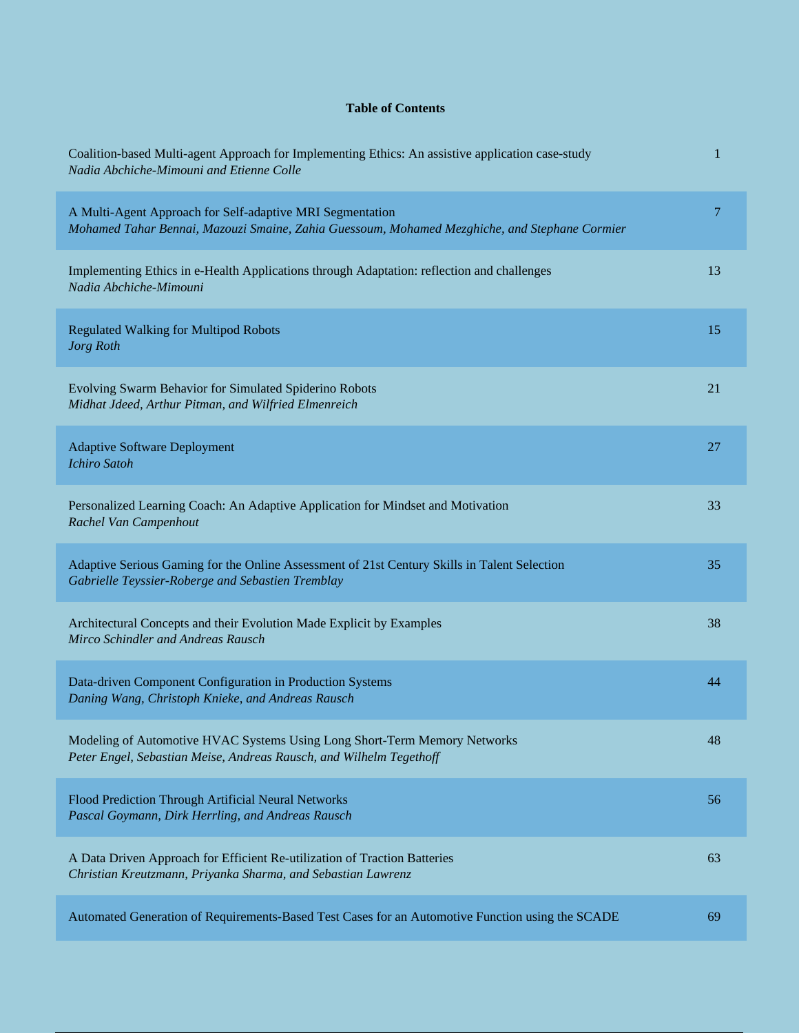## **Table of Contents**

| Coalition-based Multi-agent Approach for Implementing Ethics: An assistive application case-study<br>Nadia Abchiche-Mimouni and Etienne Colle              | 1  |
|------------------------------------------------------------------------------------------------------------------------------------------------------------|----|
| A Multi-Agent Approach for Self-adaptive MRI Segmentation<br>Mohamed Tahar Bennai, Mazouzi Smaine, Zahia Guessoum, Mohamed Mezghiche, and Stephane Cormier | 7  |
| Implementing Ethics in e-Health Applications through Adaptation: reflection and challenges<br>Nadia Abchiche-Mimouni                                       | 13 |
| <b>Regulated Walking for Multipod Robots</b><br>Jorg Roth                                                                                                  | 15 |
| Evolving Swarm Behavior for Simulated Spiderino Robots<br>Midhat Jdeed, Arthur Pitman, and Wilfried Elmenreich                                             | 21 |
| <b>Adaptive Software Deployment</b><br><b>Ichiro Satoh</b>                                                                                                 | 27 |
| Personalized Learning Coach: An Adaptive Application for Mindset and Motivation<br>Rachel Van Campenhout                                                   | 33 |
| Adaptive Serious Gaming for the Online Assessment of 21st Century Skills in Talent Selection<br>Gabrielle Teyssier-Roberge and Sebastien Tremblay          | 35 |
| Architectural Concepts and their Evolution Made Explicit by Examples<br>Mirco Schindler and Andreas Rausch                                                 | 38 |
| Data-driven Component Configuration in Production Systems<br>Daning Wang, Christoph Knieke, and Andreas Rausch                                             | 44 |
| Modeling of Automotive HVAC Systems Using Long Short-Term Memory Networks<br>Peter Engel, Sebastian Meise, Andreas Rausch, and Wilhelm Tegethoff           | 48 |
| Flood Prediction Through Artificial Neural Networks<br>Pascal Goymann, Dirk Herrling, and Andreas Rausch                                                   | 56 |
| A Data Driven Approach for Efficient Re-utilization of Traction Batteries<br>Christian Kreutzmann, Priyanka Sharma, and Sebastian Lawrenz                  | 63 |
| Automated Generation of Requirements-Based Test Cases for an Automotive Function using the SCADE                                                           | 69 |